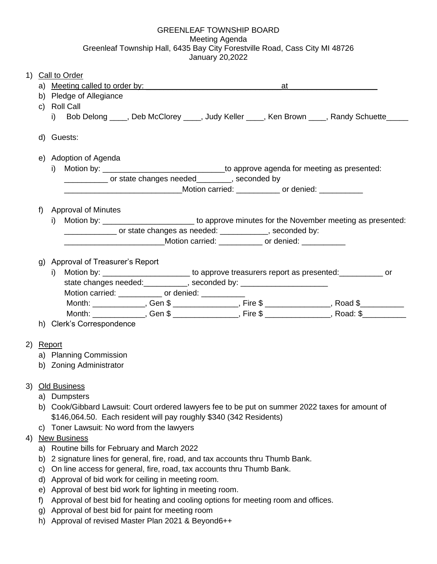## GREENLEAF TOWNSHIP BOARD Meeting Agenda Greenleaf Township Hall, 6435 Bay City Forestville Road, Cass City MI 48726 January 20,2022

| 1) |    | <b>Call to Order</b>                                                                                  |
|----|----|-------------------------------------------------------------------------------------------------------|
|    |    | a) Meeting called to order by:<br>at                                                                  |
|    |    | b) Pledge of Allegiance                                                                               |
|    |    | c) Roll Call                                                                                          |
|    |    | Bob Delong ____, Deb McClorey ____, Judy Keller ____, Ken Brown ____, Randy Schuette____<br>i)        |
|    |    | d) Guests:                                                                                            |
|    |    |                                                                                                       |
|    |    | e) Adoption of Agenda                                                                                 |
|    |    | i) Motion by: ________________________________to approve agenda for meeting as presented:             |
|    |    | ____________ or state changes needed_________, seconded by                                            |
|    |    | ___________________________________Motion carried: ____________ or denied: ___________                |
|    | f) | Approval of Minutes                                                                                   |
|    |    | i) Motion by: _____________________________ to approve minutes for the November meeting as presented: |
|    |    | ________________ or state changes as needed: _____________, seconded by:                              |
|    |    | ___________________________Motion carried: ____________ or denied: _____________                      |
|    |    |                                                                                                       |
|    | g) | Approval of Treasurer's Report                                                                        |
|    |    | i) Motion by: _________________________ to approve treasurers report as presented: ___________ or     |
|    |    | state changes needed: __________, seconded by: _________________________________                      |
|    |    | Motion carried: ____________ or denied: _________                                                     |
|    |    | Month: ______________, Gen \$ _______________, Fire \$ ______________, Road \$__________              |
|    |    | Month: ______________, Gen \$ ______________, Fire \$ _____________, Road: \$__________               |
|    |    | h) Clerk's Correspondence                                                                             |
|    |    |                                                                                                       |
|    |    | 2) Report                                                                                             |
|    |    | a) Planning Commission                                                                                |
|    |    | b) Zoning Administrator                                                                               |
|    |    | 3) Old Business                                                                                       |
|    | a) | Dumpsters                                                                                             |
|    | b) | Cook/Gibbard Lawsuit: Court ordered lawyers fee to be put on summer 2022 taxes for amount of          |
|    |    | \$146,064.50. Each resident will pay roughly \$340 (342 Residents)                                    |
|    | C) | Toner Lawsuit: No word from the lawyers                                                               |
| 4) |    | <b>New Business</b>                                                                                   |
|    | a) | Routine bills for February and March 2022                                                             |
|    | b) | 2 signature lines for general, fire, road, and tax accounts thru Thumb Bank.                          |
|    | C) | On line access for general, fire, road, tax accounts thru Thumb Bank.                                 |
|    | d) | Approval of bid work for ceiling in meeting room.                                                     |
|    | e) | Approval of best bid work for lighting in meeting room.                                               |

- f) Approval of best bid for heating and cooling options for meeting room and offices.
- g) Approval of best bid for paint for meeting room
- h) Approval of revised Master Plan 2021 & Beyond6++